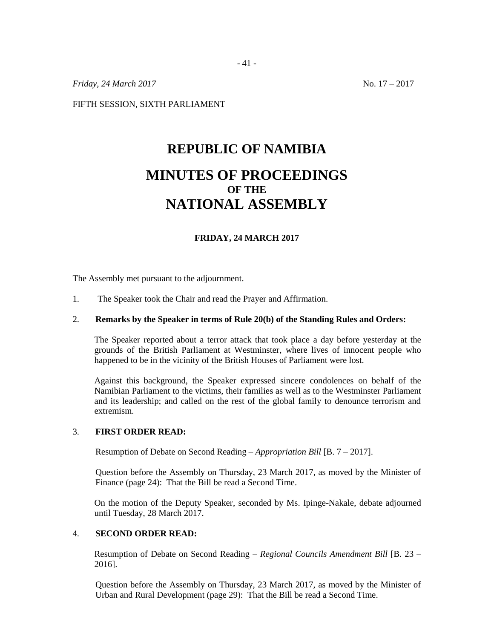*Friday, 24 March 2017* No. 17 – 2017

FIFTH SESSION, SIXTH PARLIAMENT

# **REPUBLIC OF NAMIBIA MINUTES OF PROCEEDINGS OF THE NATIONAL ASSEMBLY**

# **FRIDAY, 24 MARCH 2017**

The Assembly met pursuant to the adjournment.

1. The Speaker took the Chair and read the Prayer and Affirmation.

#### 2. **Remarks by the Speaker in terms of Rule 20(b) of the Standing Rules and Orders:**

The Speaker reported about a terror attack that took place a day before yesterday at the grounds of the British Parliament at Westminster, where lives of innocent people who happened to be in the vicinity of the British Houses of Parliament were lost.

Against this background, the Speaker expressed sincere condolences on behalf of the Namibian Parliament to the victims, their families as well as to the Westminster Parliament and its leadership; and called on the rest of the global family to denounce terrorism and extremism.

### 3. **FIRST ORDER READ:**

Resumption of Debate on Second Reading – *Appropriation Bill* [B. 7 – 2017].

Question before the Assembly on Thursday, 23 March 2017, as moved by the Minister of Finance (page 24): That the Bill be read a Second Time.

On the motion of the Deputy Speaker, seconded by Ms. Ipinge-Nakale, debate adjourned until Tuesday, 28 March 2017.

### 4. **SECOND ORDER READ:**

Resumption of Debate on Second Reading – *Regional Councils Amendment Bill* [B. 23 – 2016].

Question before the Assembly on Thursday, 23 March 2017, as moved by the Minister of Urban and Rural Development (page 29): That the Bill be read a Second Time.